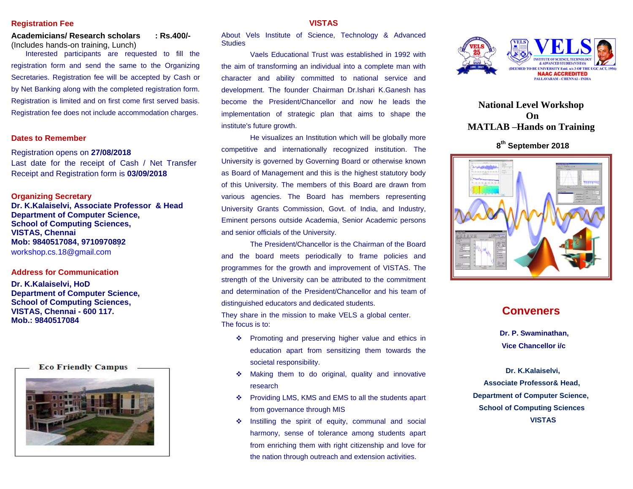#### **Registration Fee**

**Academicians/ Research scholars : Rs.400/-** (Includes hands-on training, Lunch)

Interested participants are requested to fill the registration form and send the same to the Organizing Secretaries. Registration fee will be accepted by Cash or by Net Banking along with the completed registration form. Registration is limited and on first come first served basis. Registration fee does not include accommodation charges.

## **Dates to Remember**

Registration opens on **27/08/2018**

Last date for the receipt of Cash / Net Transfer Receipt and Registration form is **03/09/2018**

#### **Organizing Secretary**

**Dr. K.Kalaiselvi, Associate Professor & Head Department of Computer Science, School of Computing Sciences, VISTAS, Chennai Mob: 9840517084, 9710970892** workshop.cs.18@gmail.com

## **Address for Communication**

**Dr. K.Kalaiselvi, HoD Department of Computer Science, School of Computing Sciences, VISTAS, Chennai - 600 117. Mob.: 9840517084**

**Eco Friendly Campus** 



#### **VISTAS**

About Vels Institute of Science, Technology & Advanced **Studies** 

Vaels Educational Trust was established in 1992 with the aim of transforming an individual into a complete man with character and ability committed to national service and development. The founder Chairman Dr.Ishari K.Ganesh has become the President/Chancellor and now he leads the implementation of strategic plan that aims to shape the institute's future growth.

He visualizes an Institution which will be globally more competitive and internationally recognized institution. The University is governed by Governing Board or otherwise known as Board of Management and this is the highest statutory body of this University. The members of this Board are drawn from various agencies. The Board has members representing University Grants Commission, Govt. of India, and Industry, Eminent persons outside Academia, Senior Academic persons and senior officials of the University.

The President/Chancellor is the Chairman of the Board and the board meets periodically to frame policies and programmes for the growth and improvement of VISTAS. The strength of the University can be attributed to the commitment and determination of the President/Chancellor and his team of distinguished educators and dedicated students.

They share in the mission to make VELS a global center. The focus is to:

- $\cdot \cdot$  Promoting and preserving higher value and ethics in education apart from sensitizing them towards the societal responsibility.
- Making them to do original, quality and innovative research
- Providing LMS, KMS and EMS to all the students apart from governance through MIS
- $\cdot$  Instilling the spirit of equity, communal and social harmony, sense of tolerance among students apart from enriching them with right citizenship and love for the nation through outreach and extension activities.



**National Level Workshop On MATLAB –Hands on Training** 

**8 th September 2018**



# **Conveners**

 **Dr. P. Swaminathan, Vice Chancellor i/c**

 **Dr. K.Kalaiselvi, Associate Professor& Head, Department of Computer Science, School of Computing Sciences VISTAS**